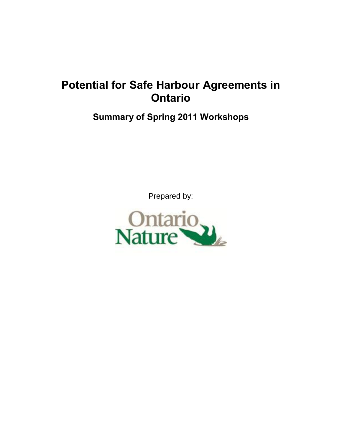# **Potential for Safe Harbour Agreements in Ontario**

## **Summary of Spring 2011 Workshops**

Prepared by:

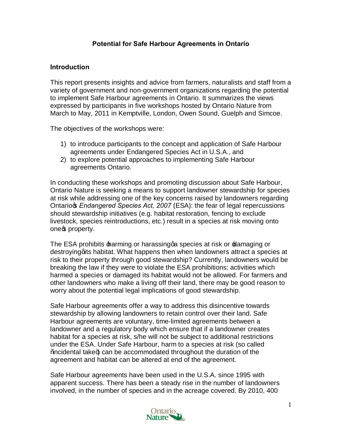## **Potential for Safe Harbour Agreements in Ontario**

#### **Introduction**

This report presents insights and advice from farmers, naturalists and staff from a variety of government and non-government organizations regarding the potential to implement Safe Harbour agreements in Ontario. It summarizes the views expressed by participants in five workshops hosted by Ontario Nature from March to May, 2011 in Kemptville, London, Owen Sound, Guelph and Simcoe.

The objectives of the workshops were:

- 1) to introduce participants to the concept and application of Safe Harbour agreements under Endangered Species Act in U.S.A., and
- 2) to explore potential approaches to implementing Safe Harbour agreements Ontario.

In conducting these workshops and promoting discussion about Safe Harbour, Ontario Nature is seeking a means to support landowner stewardship for species at risk while addressing one of the key concerns raised by landowners regarding Ontario's *Endangered Species Act, 2007* (ESA): the fear of legal repercussions should stewardship initiatives (e.g. habitat restoration, fencing to exclude livestock, species reintroductions, etc.) result in a species at risk moving onto one of property.

The ESA prohibits  $\pm$ arming or harassingga species at risk or  $\pm$ damaging or destroyinggits habitat. What happens then when landowners attract a species at risk to their property through good stewardship? Currently, landowners would be breaking the law if they were to violate the ESA prohibitions; activities which harmed a species or damaged its habitat would not be allowed. For farmers and other landowners who make a living off their land, there may be good reason to worry about the potential legal implications of good stewardship.

Safe Harbour agreements offer a way to address this disincentive towards stewardship by allowing landowners to retain control over their land. Safe Harbour agreements are voluntary, time-limited agreements between a landowner and a regulatory body which ensure that if a landowner creates habitat for a species at risk, s/he will not be subject to additional restrictions under the ESA. Under Safe Harbour, harm to a species at risk (so called  $%$ acidental take+) can be accommodated throughout the duration of the agreement and habitat can be altered at end of the agreement.

Safe Harbour agreements have been used in the U.S.A. since 1995 with apparent success. There has been a steady rise in the number of landowners involved, in the number of species and in the acreage covered. By 2010, 400

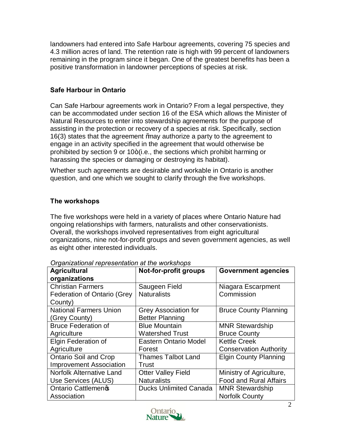landowners had entered into Safe Harbour agreements, covering 75 species and 4.3 million acres of land. The retention rate is high with 99 percent of landowners remaining in the program since it began. One of the greatest benefits has been a positive transformation in landowner perceptions of species at risk.

## **Safe Harbour in Ontario**

Can Safe Harbour agreements work in Ontario? From a legal perspective, they can be accommodated under section 16 of the ESA which allows the Minister of Natural Resources to enter into stewardship agreements for the purpose of assisting in the protection or recovery of a species at risk. Specifically, section 16(3) states that the agreement *%* ay authorize a party to the agreement to engage in an activity specified in the agreement that would otherwise be prohibited by section 9 or 10+(i.e., the sections which prohibit harming or harassing the species or damaging or destroying its habitat).

Whether such agreements are desirable and workable in Ontario is another question, and one which we sought to clarify through the five workshops.

## **The workshops**

The five workshops were held in a variety of places where Ontario Nature had ongoing relationships with farmers, naturalists and other conservationists. Overall, the workshops involved representatives from eight agricultural organizations, nine not-for-profit groups and seven government agencies, as well as eight other interested individuals.

| <b>Agricultural</b>                | Not-for-profit groups         | <b>Government agencies</b>    |
|------------------------------------|-------------------------------|-------------------------------|
| organizations                      |                               |                               |
| <b>Christian Farmers</b>           | Saugeen Field                 | Niagara Escarpment            |
| <b>Federation of Ontario (Grey</b> | <b>Naturalists</b>            | Commission                    |
| County)                            |                               |                               |
| <b>National Farmers Union</b>      | <b>Grey Association for</b>   | <b>Bruce County Planning</b>  |
| (Grey County)                      | <b>Better Planning</b>        |                               |
| <b>Bruce Federation of</b>         | <b>Blue Mountain</b>          | <b>MNR Stewardship</b>        |
| Agriculture                        | <b>Watershed Trust</b>        | <b>Bruce County</b>           |
| Elgin Federation of                | <b>Eastern Ontario Model</b>  | <b>Kettle Creek</b>           |
| Agriculture                        | Forest                        | <b>Conservation Authority</b> |
| <b>Ontario Soil and Crop</b>       | <b>Thames Talbot Land</b>     | <b>Elgin County Planning</b>  |
| <b>Improvement Association</b>     | Trust                         |                               |
| <b>Norfolk Alternative Land</b>    | <b>Otter Valley Field</b>     | Ministry of Agriculture,      |
| Use Services (ALUS)                | <b>Naturalists</b>            | <b>Food and Rural Affairs</b> |
| <b>Ontario Cattlemeng</b>          | <b>Ducks Unlimited Canada</b> | <b>MNR Stewardship</b>        |
| Association                        |                               | <b>Norfolk County</b>         |

*Organizational representation at the workshops*

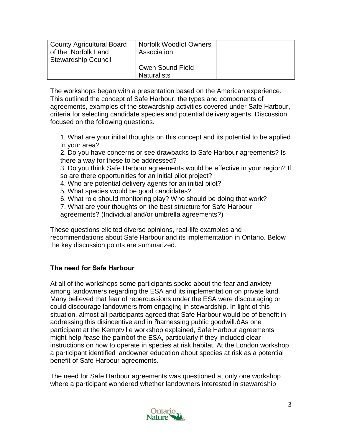| County Agricultural Board<br>of the Norfolk Land<br><b>Stewardship Council</b> | Norfolk Woodlot Owners<br>Association  |  |
|--------------------------------------------------------------------------------|----------------------------------------|--|
|                                                                                | Owen Sound Field<br><b>Naturalists</b> |  |

The workshops began with a presentation based on the American experience. This outlined the concept of Safe Harbour, the types and components of agreements, examples of the stewardship activities covered under Safe Harbour, criteria for selecting candidate species and potential delivery agents. Discussion focused on the following questions.

1. What are your initial thoughts on this concept and its potential to be applied in your area?

2. Do you have concerns or see drawbacks to Safe Harbour agreements? Is there a way for these to be addressed?

3. Do you think Safe Harbour agreements would be effective in your region? If so are there opportunities for an initial pilot project?

- 4. Who are potential delivery agents for an initial pilot?
- 5. What species would be good candidates?
- 6. What role should monitoring play? Who should be doing that work?
- 7. What are your thoughts on the best structure for Safe Harbour

agreements? (Individual and/or umbrella agreements?)

These questions elicited diverse opinions, real-life examples and recommendations about Safe Harbour and its implementation in Ontario. Below the key discussion points are summarized.

## **The need for Safe Harbour**

At all of the workshops some participants spoke about the fear and anxiety among landowners regarding the ESA and its implementation on private land. Many believed that fear of repercussions under the ESA were discouraging or could discourage landowners from engaging in stewardship. In light of this situation, almost all participants agreed that Safe Harbour would be of benefit in addressing this disincentive and in %arnessing public goodwill.+As one participant at the Kemptville workshop explained, Safe Harbour agreements might help ‰ase the pain+of the ESA, particularly if they included clear instructions on how to operate in species at risk habitat. At the London workshop a participant identified landowner education about species at risk as a potential benefit of Safe Harbour agreements.

The need for Safe Harbour agreements was questioned at only one workshop where a participant wondered whether landowners interested in stewardship

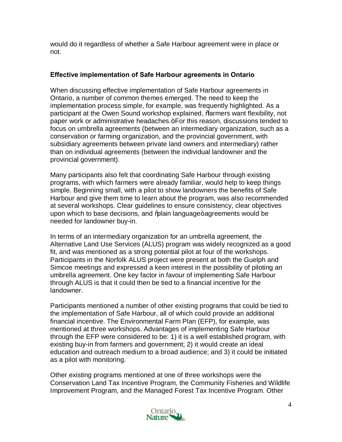would do it regardless of whether a Safe Harbour agreement were in place or not.

## **Effective implementation of Safe Harbour agreements in Ontario**

When discussing effective implementation of Safe Harbour agreements in Ontario, a number of common themes emerged. The need to keep the implementation process simple, for example, was frequently highlighted. As a participant at the Owen Sound workshop explained, "farmers want flexibility, not paper work or administrative headaches.  $+$  For this reason, discussions tended to focus on umbrella agreements (between an intermediary organization, such as a conservation or farming organization, and the provincial government, with subsidiary agreements between private land owners and intermediary) rather than on individual agreements (between the individual landowner and the provincial government).

Many participants also felt that coordinating Safe Harbour through existing programs, with which farmers were already familiar, would help to keep things simple. Beginning small, with a pilot to show landowners the benefits of Safe Harbour and give them time to learn about the program, was also recommended at several workshops. Clear guidelines to ensure consistency, clear objectives upon which to base decisions, and % ain language + agreements would be needed for landowner buy-in.

In terms of an intermediary organization for an umbrella agreement, the Alternative Land Use Services (ALUS) program was widely recognized as a good fit, and was mentioned as a strong potential pilot at four of the workshops. Participants in the Norfolk ALUS project were present at both the Guelph and Simcoe meetings and expressed a keen interest in the possibility of piloting an umbrella agreement. One key factor in favour of implementing Safe Harbour through ALUS is that it could then be tied to a financial incentive for the landowner.

Participants mentioned a number of other existing programs that could be tied to the implementation of Safe Harbour, all of which could provide an additional financial incentive. The Environmental Farm Plan (EFP), for example, was mentioned at three workshops. Advantages of implementing Safe Harbour through the EFP were considered to be: 1) it is a well established program, with existing buy-in from farmers and government; 2) it would create an ideal education and outreach medium to a broad audience; and 3) it could be initiated as a pilot with monitoring.

Other existing programs mentioned at one of three workshops were the Conservation Land Tax Incentive Program, the Community Fisheries and Wildlife Improvement Program, and the Managed Forest Tax Incentive Program. Other

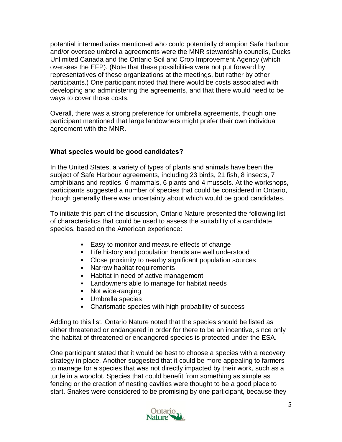potential intermediaries mentioned who could potentially champion Safe Harbour and/or oversee umbrella agreements were the MNR stewardship councils, Ducks Unlimited Canada and the Ontario Soil and Crop Improvement Agency (which oversees the EFP). (Note that these possibilities were not put forward by representatives of these organizations at the meetings, but rather by other participants.) One participant noted that there would be costs associated with developing and administering the agreements, and that there would need to be ways to cover those costs.

Overall, there was a strong preference for umbrella agreements, though one participant mentioned that large landowners might prefer their own individual agreement with the MNR.

## **What species would be good candidates?**

In the United States, a variety of types of plants and animals have been the subject of Safe Harbour agreements, including 23 birds, 21 fish, 8 insects, 7 amphibians and reptiles, 6 mammals, 6 plants and 4 mussels. At the workshops, participants suggested a number of species that could be considered in Ontario, though generally there was uncertainty about which would be good candidates.

To initiate this part of the discussion, Ontario Nature presented the following list of characteristics that could be used to assess the suitability of a candidate species, based on the American experience:

- Easy to monitor and measure effects of change
- Life history and population trends are well understood
- Close proximity to nearby significant population sources
- Narrow habitat requirements
- Habitat in need of active management
- Landowners able to manage for habitat needs
- Not wide-ranging
- Umbrella species
- Charismatic species with high probability of success

Adding to this list, Ontario Nature noted that the species should be listed as either threatened or endangered in order for there to be an incentive, since only the habitat of threatened or endangered species is protected under the ESA.

One participant stated that it would be best to choose a species with a recovery strategy in place. Another suggested that it could be more appealing to farmers to manage for a species that was not directly impacted by their work, such as a turtle in a woodlot. Species that could benefit from something as simple as fencing or the creation of nesting cavities were thought to be a good place to start. Snakes were considered to be promising by one participant, because they

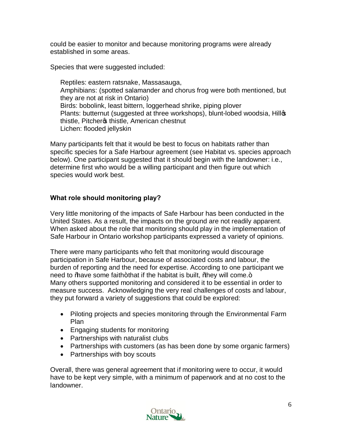could be easier to monitor and because monitoring programs were already established in some areas.

Species that were suggested included:

Reptiles: eastern ratsnake, Massasauga, Amphibians: (spotted salamander and chorus frog were both mentioned, but they are not at risk in Ontario) Birds: bobolink, least bittern, loggerhead shrike, piping plover Plants: butternut (suggested at three workshops), blunt-lobed woodsia, Hillos thistle, Pitcher os thistle, American chestnut Lichen: flooded jellyskin

Many participants felt that it would be best to focus on habitats rather than specific species for a Safe Harbour agreement (see Habitat vs. species approach below). One participant suggested that it should begin with the landowner: i.e., determine first who would be a willing participant and then figure out which species would work best.

## **What role should monitoring play?**

Very little monitoring of the impacts of Safe Harbour has been conducted in the United States. As a result, the impacts on the ground are not readily apparent. When asked about the role that monitoring should play in the implementation of Safe Harbour in Ontario workshop participants expressed a variety of opinions.

There were many participants who felt that monitoring would discourage participation in Safe Harbour, because of associated costs and labour, the burden of reporting and the need for expertise. According to one participant we need to  $%$  have some faith+that if the habitat is built,  $%$  hey will come. $+$ Many others supported monitoring and considered it to be essential in order to measure success. Acknowledging the very real challenges of costs and labour, they put forward a variety of suggestions that could be explored:

- Piloting projects and species monitoring through the Environmental Farm Plan
- Engaging students for monitoring
- · Partnerships with naturalist clubs
- Partnerships with customers (as has been done by some organic farmers)
- Partnerships with boy scouts

Overall, there was general agreement that if monitoring were to occur, it would have to be kept very simple, with a minimum of paperwork and at no cost to the landowner.

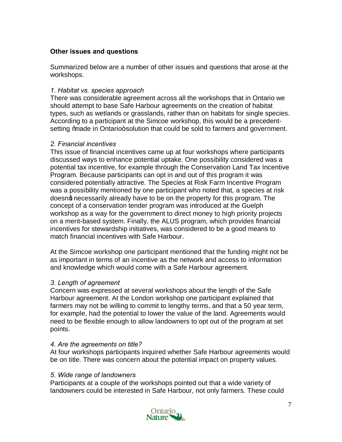## **Other issues and questions**

Summarized below are a number of other issues and questions that arose at the workshops.

#### *1. Habitat vs. species approach*

There was considerable agreement across all the workshops that in Ontario we should attempt to base Safe Harbour agreements on the creation of habitat types, such as wetlands or grasslands, rather than on habitats for single species. According to a participant at the Simcoe workshop, this would be a precedentsetting %made in Ontario+solution that could be sold to farmers and government.

#### *2. Financial incentives*

This issue of financial incentives came up at four workshops where participants discussed ways to enhance potential uptake. One possibility considered was a potential tax incentive, for example through the Conservation Land Tax Incentive Program. Because participants can opt in and out of this program it was considered potentially attractive. The Species at Risk Farm Incentive Program was a possibility mentioned by one participant who noted that, a species at risk doesng necessarily already have to be on the property for this program. The concept of a conservation tender program was introduced at the Guelph workshop as a way for the government to direct money to high priority projects on a merit-based system. Finally, the ALUS program, which provides financial incentives for stewardship initiatives, was considered to be a good means to match financial incentives with Safe Harbour.

At the Simcoe workshop one participant mentioned that the funding might not be as important in terms of an incentive as the network and access to information and knowledge which would come with a Safe Harbour agreement.

#### *3. Length of agreement*

Concern was expressed at several workshops about the length of the Safe Harbour agreement. At the London workshop one participant explained that farmers may not be willing to commit to lengthy terms, and that a 50 year term, for example, had the potential to lower the value of the land. Agreements would need to be flexible enough to allow landowners to opt out of the program at set points.

#### *4. Are the agreements on title?*

At four workshops participants inquired whether Safe Harbour agreements would be on title. There was concern about the potential impact on property values.

#### *5. Wide range of landowners*

Participants at a couple of the workshops pointed out that a wide variety of landowners could be interested in Safe Harbour, not only farmers. These could

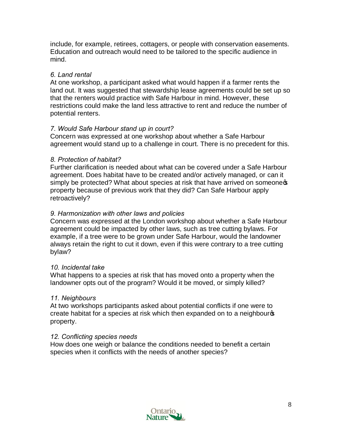include, for example, retirees, cottagers, or people with conservation easements. Education and outreach would need to be tailored to the specific audience in mind.

## *6. Land rental*

At one workshop, a participant asked what would happen if a farmer rents the land out. It was suggested that stewardship lease agreements could be set up so that the renters would practice with Safe Harbour in mind. However, these restrictions could make the land less attractive to rent and reduce the number of potential renters.

#### *7. Would Safe Harbour stand up in court?*

Concern was expressed at one workshop about whether a Safe Harbour agreement would stand up to a challenge in court. There is no precedent for this.

#### *8. Protection of habitat?*

Further clarification is needed about what can be covered under a Safe Harbour agreement. Does habitat have to be created and/or actively managed, or can it simply be protected? What about species at risk that have arrived on someones property because of previous work that they did? Can Safe Harbour apply retroactively?

#### *9. Harmonization with other laws and policies*

Concern was expressed at the London workshop about whether a Safe Harbour agreement could be impacted by other laws, such as tree cutting bylaws. For example, if a tree were to be grown under Safe Harbour, would the landowner always retain the right to cut it down, even if this were contrary to a tree cutting bylaw?

#### *10. Incidental take*

What happens to a species at risk that has moved onto a property when the landowner opts out of the program? Would it be moved, or simply killed?

#### *11. Neighbours*

At two workshops participants asked about potential conflicts if one were to create habitat for a species at risk which then expanded on to a neighbour property.

#### *12. Conflicting species needs*

How does one weigh or balance the conditions needed to benefit a certain species when it conflicts with the needs of another species?